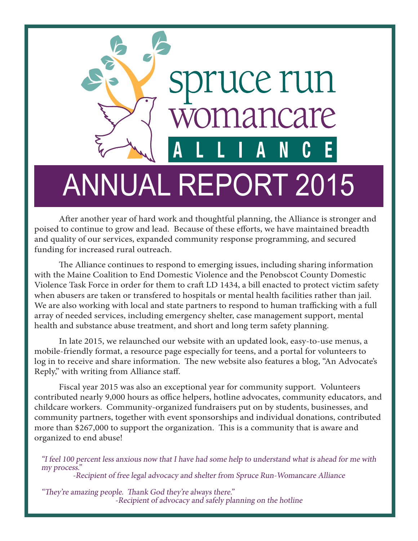

After another year of hard work and thoughtful planning, the Alliance is stronger and poised to continue to grow and lead. Because of these efforts, we have maintained breadth and quality of our services, expanded community response programming, and secured funding for increased rural outreach.

The Alliance continues to respond to emerging issues, including sharing information with the Maine Coalition to End Domestic Violence and the Penobscot County Domestic Violence Task Force in order for them to craft LD 1434, a bill enacted to protect victim safety when abusers are taken or transfered to hospitals or mental health facilities rather than jail. We are also working with local and state partners to respond to human trafficking with a full array of needed services, including emergency shelter, case management support, mental health and substance abuse treatment, and short and long term safety planning.

In late 2015, we relaunched our website with an updated look, easy-to-use menus, a mobile-friendly format, a resource page especially for teens, and a portal for volunteers to log in to receive and share information. The new website also features a blog, "An Advocate's Reply," with writing from Alliance staff.

Fiscal year 2015 was also an exceptional year for community support. Volunteers contributed nearly 9,000 hours as office helpers, hotline advocates, community educators, and childcare workers. Community-organized fundraisers put on by students, businesses, and community partners, together with event sponsorships and individual donations, contributed more than \$267,000 to support the organization. This is a community that is aware and organized to end abuse!

"I feel 100 percent less anxious now that I have had some help to understand what is ahead for me with my process."

-Recipient of free legal advocacy and shelter from Spruce Run-Womancare Alliance

"They're amazing people. Thank God they're always there." -Recipient of advocacy and safely planning on the hotline